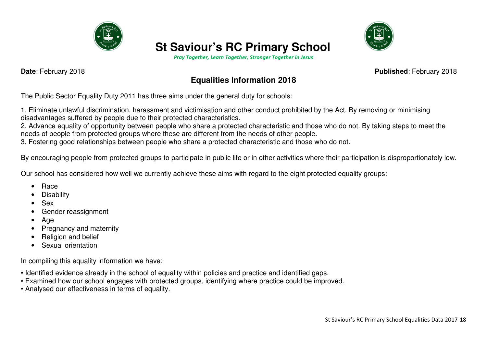

# **St Saviour's RC Primary School**

*Pray Together, Learn Together, Stronger Together in Jesus* 



**Date**: February 2018 **Published**: February 2018

# **Equalities Information 2018**

The Public Sector Equality Duty 2011 has three aims under the general duty for schools:

1. Eliminate unlawful discrimination, harassment and victimisation and other conduct prohibited by the Act. By removing or minimising disadvantages suffered by people due to their protected characteristics.

 2. Advance equality of opportunity between people who share a protected characteristic and those who do not. By taking steps to meet the needs of people from protected groups where these are different from the needs of other people.

3. Fostering good relationships between people who share a protected characteristic and those who do not.

By encouraging people from protected groups to participate in public life or in other activities where their participation is disproportionately low.

Our school has considered how well we currently achieve these aims with regard to the eight protected equality groups:

- Race
- **Disability**
- Sex
- Gender reassignment
- Age
- Pregnancy and maternity
- Religion and belief
- Sexual orientation

In compiling this equality information we have:

- Identified evidence already in the school of equality within policies and practice and identified gaps.
- Examined how our school engages with protected groups, identifying where practice could be improved.
- Analysed our effectiveness in terms of equality.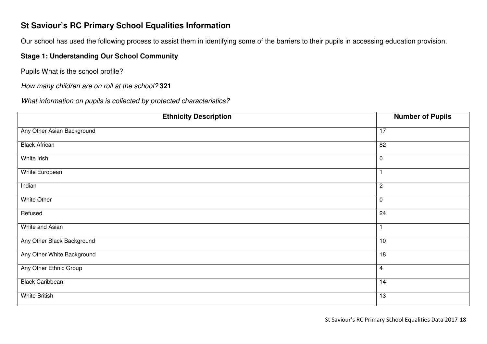# **St Saviour's RC Primary School Equalities Information**

Our school has used the following process to assist them in identifying some of the barriers to their pupils in accessing education provision.

#### **Stage 1: Understanding Our School Community**

Pupils What is the school profile?

How many children are on roll at the school? **<sup>321</sup>**

What information on pupils is collected by protected characteristics?

| <b>Ethnicity Description</b> | <b>Number of Pupils</b> |
|------------------------------|-------------------------|
| Any Other Asian Background   | 17                      |
| <b>Black African</b>         | 82                      |
| White Irish                  | $\mathbf 0$             |
| <b>White European</b>        |                         |
| Indian                       | $\overline{c}$          |
| <b>White Other</b>           | $\mathbf 0$             |
| Refused                      | $\overline{24}$         |
| White and Asian              |                         |
| Any Other Black Background   | 10                      |
| Any Other White Background   | 18                      |
| Any Other Ethnic Group       | 4                       |
| <b>Black Caribbean</b>       | 14                      |
| White British                | 13                      |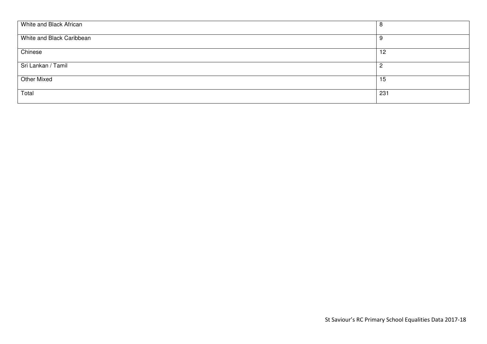| White and Black African   | 8   |
|---------------------------|-----|
| White and Black Caribbean | -9  |
| Chinese                   | 12  |
| Sri Lankan / Tamil        | 2   |
| <b>Other Mixed</b>        | 15  |
| Total                     | 231 |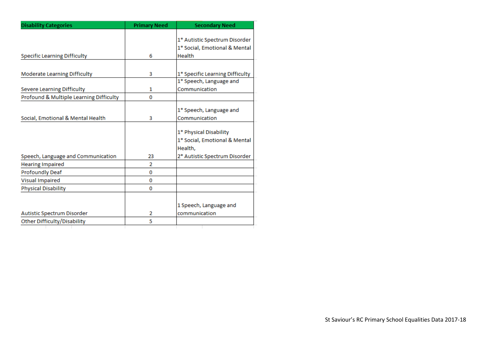| <b>Disability Categories</b>            | <b>Primary Need</b> | <b>Secondary Need</b>           |
|-----------------------------------------|---------------------|---------------------------------|
|                                         |                     |                                 |
|                                         |                     | 1* Autistic Spectrum Disorder   |
|                                         |                     | 1* Social, Emotional & Mental   |
| <b>Specific Learning Difficulty</b>     | 6                   | Health                          |
|                                         |                     |                                 |
| Moderate Learning Difficulty            | 3                   | 1* Specific Learning Difficulty |
|                                         |                     | 1* Speech, Language and         |
| <b>Severe Learning Difficulty</b>       | 1                   | Communication                   |
| Profound & Multiple Learning Difficulty | 0                   |                                 |
|                                         |                     |                                 |
|                                         |                     | 1* Speech, Language and         |
| Social, Emotional & Mental Health       | 3                   | Communication                   |
|                                         |                     | 1* Physical Disability          |
|                                         |                     | 1* Social, Emotional & Mental   |
|                                         |                     | Health,                         |
|                                         |                     |                                 |
| Speech, Language and Communication      | 23                  | 2* Autistic Spectrum Disorder   |
| <b>Hearing Impaired</b>                 | 2                   |                                 |
| <b>Profoundly Deaf</b>                  | 0                   |                                 |
| <b>Visual Impaired</b>                  | 0                   |                                 |
| <b>Physical Disability</b>              | 0                   |                                 |
|                                         |                     |                                 |
|                                         |                     | 1 Speech, Language and          |
| Autistic Spectrum Disorder              | 2                   | communication                   |
| Other Difficulty/Disability             | 5                   |                                 |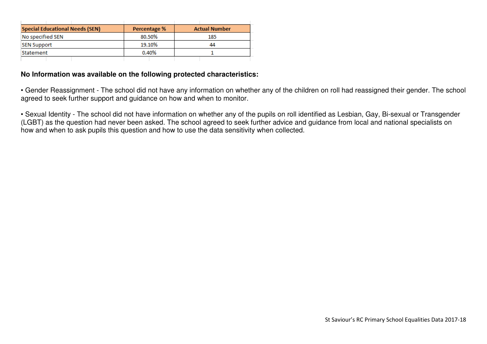| <b>Special Educational Needs (SEN)</b> | Percentage % | <b>Actual Number</b> |
|----------------------------------------|--------------|----------------------|
| No specified SEN                       | 80.50%       | 185                  |
| <b>SEN Support</b>                     | 19.10%       | 44                   |
| Statement                              | 0.40%        |                      |
|                                        |              |                      |

#### **No Information was available on the following protected characteristics:**

• Gender Reassignment - The school did not have any information on whether any of the children on roll had reassigned their gender. The school agreed to seek further support and guidance on how and when to monitor.

• Sexual Identity - The school did not have information on whether any of the pupils on roll identified as Lesbian, Gay, Bi-sexual or Transgender (LGBT) as the question had never been asked. The school agreed to seek further advice and guidance from local and national specialists on how and when to ask pupils this question and how to use the data sensitivity when collected.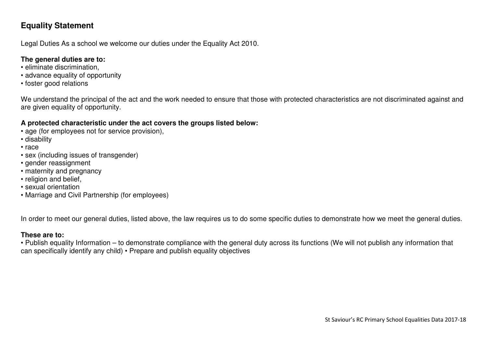# **Equality Statement**

Legal Duties As a school we welcome our duties under the Equality Act 2010.

#### **The general duties are to:**

- eliminate discrimination,
- advance equality of opportunity
- foster good relations

We understand the principal of the act and the work needed to ensure that those with protected characteristics are not discriminated against and are given equality of opportunity.

### **A protected characteristic under the act covers the groups listed below:**

- age (for employees not for service provision),
- disability
- race
- sex (including issues of transgender)
- gender reassignment
- maternity and pregnancy
- religion and belief,
- sexual orientation
- Marriage and Civil Partnership (for employees)

In order to meet our general duties, listed above, the law requires us to do some specific duties to demonstrate how we meet the general duties.

### **These are to:**

 • Publish equality Information – to demonstrate compliance with the general duty across its functions (We will not publish any information that can specifically identify any child) • Prepare and publish equality objectives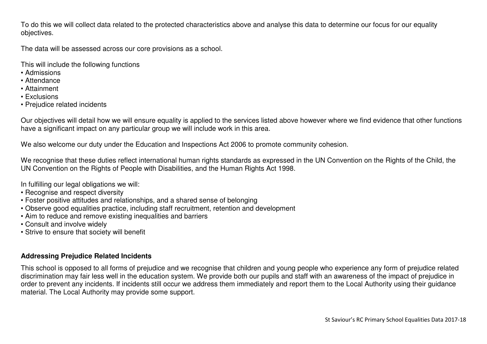To do this we will collect data related to the protected characteristics above and analyse this data to determine our focus for our equality objectives.

The data will be assessed across our core provisions as a school.

This will include the following functions

- Admissions
- Attendance
- Attainment
- Exclusions
- Prejudice related incidents

Our objectives will detail how we will ensure equality is applied to the services listed above however where we find evidence that other functions have a significant impact on any particular group we will include work in this area.

We also welcome our duty under the Education and Inspections Act 2006 to promote community cohesion.

We recognise that these duties reflect international human rights standards as expressed in the UN Convention on the Rights of the Child, the UN Convention on the Rights of People with Disabilities, and the Human Rights Act 1998.

In fulfilling our legal obligations we will:

- Recognise and respect diversity
- Foster positive attitudes and relationships, and a shared sense of belonging
- Observe good equalities practice, including staff recruitment, retention and development
- Aim to reduce and remove existing inequalities and barriers
- Consult and involve widely
- Strive to ensure that society will benefit

### **Addressing Prejudice Related Incidents**

This school is opposed to all forms of prejudice and we recognise that children and young people who experience any form of prejudice related discrimination may fair less well in the education system. We provide both our pupils and staff with an awareness of the impact of prejudice in order to prevent any incidents. If incidents still occur we address them immediately and report them to the Local Authority using their guidance material. The Local Authority may provide some support.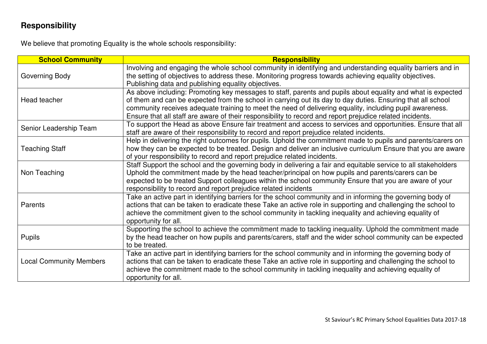# **Responsibility**

We believe that promoting Equality is the whole schools responsibility:

| <b>School Community</b>        | Responsibility                                                                                                                                                                                                             |
|--------------------------------|----------------------------------------------------------------------------------------------------------------------------------------------------------------------------------------------------------------------------|
| Governing Body                 | Involving and engaging the whole school community in identifying and understanding equality barriers and in<br>the setting of objectives to address these. Monitoring progress towards achieving equality objectives.      |
|                                | Publishing data and publishing equality objectives.                                                                                                                                                                        |
| Head teacher                   | As above including: Promoting key messages to staff, parents and pupils about equality and what is expected<br>of them and can be expected from the school in carrying out its day to day duties. Ensuring that all school |
|                                | community receives adequate training to meet the need of delivering equality, including pupil awareness.<br>Ensure that all staff are aware of their responsibility to record and report prejudice related incidents.      |
|                                | To support the Head as above Ensure fair treatment and access to services and opportunities. Ensure that all                                                                                                               |
| Senior Leadership Team         | staff are aware of their responsibility to record and report prejudice related incidents.                                                                                                                                  |
|                                | Help in delivering the right outcomes for pupils. Uphold the commitment made to pupils and parents/carers on                                                                                                               |
| <b>Teaching Staff</b>          | how they can be expected to be treated. Design and deliver an inclusive curriculum Ensure that you are aware                                                                                                               |
|                                | of your responsibility to record and report prejudice related incidents.                                                                                                                                                   |
|                                | Staff Support the school and the governing body in delivering a fair and equitable service to all stakeholders                                                                                                             |
| Non Teaching                   | Uphold the commitment made by the head teacher/principal on how pupils and parents/carers can be                                                                                                                           |
|                                | expected to be treated Support colleagues within the school community Ensure that you are aware of your                                                                                                                    |
|                                | responsibility to record and report prejudice related incidents                                                                                                                                                            |
|                                | Take an active part in identifying barriers for the school community and in informing the governing body of                                                                                                                |
| Parents                        | actions that can be taken to eradicate these Take an active role in supporting and challenging the school to                                                                                                               |
|                                | achieve the commitment given to the school community in tackling inequality and achieving equality of<br>opportunity for all.                                                                                              |
|                                | Supporting the school to achieve the commitment made to tackling inequality. Uphold the commitment made                                                                                                                    |
|                                | by the head teacher on how pupils and parents/carers, staff and the wider school community can be expected                                                                                                                 |
| <b>Pupils</b>                  | to be treated.                                                                                                                                                                                                             |
|                                | Take an active part in identifying barriers for the school community and in informing the governing body of                                                                                                                |
| <b>Local Community Members</b> | actions that can be taken to eradicate these Take an active role in supporting and challenging the school to                                                                                                               |
|                                | achieve the commitment made to the school community in tackling inequality and achieving equality of                                                                                                                       |
|                                | opportunity for all.                                                                                                                                                                                                       |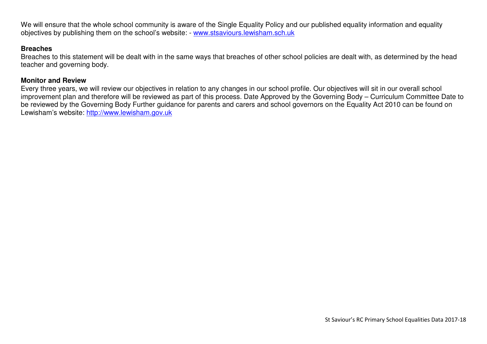We will ensure that the whole school community is aware of the Single Equality Policy and our published equality information and equality objectives by publishing them on the school's website: - www.stsaviours.lewisham.sch.uk

#### **Breaches**

 Breaches to this statement will be dealt with in the same ways that breaches of other school policies are dealt with, as determined by the head teacher and governing body.

#### **Monitor and Review**

 Every three years, we will review our objectives in relation to any changes in our school profile. Our objectives will sit in our overall school improvement plan and therefore will be reviewed as part of this process. Date Approved by the Governing Body – Curriculum Committee Date to be reviewed by the Governing Body Further guidance for parents and carers and school governors on the Equality Act 2010 can be found on Lewisham's website: http://www.lewisham.gov.uk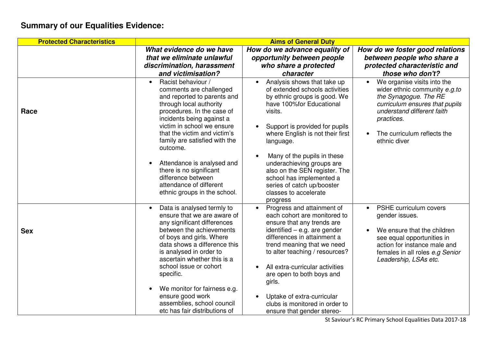# **Summary of our Equalities Evidence:**

| <b>Protected Characteristics</b> | <b>Aims of General Duty</b>                                                                                                                                                                                                                                                                |                                                                                                                                                                                                                                                                                                     |                                                                                                                                                                                                                    |
|----------------------------------|--------------------------------------------------------------------------------------------------------------------------------------------------------------------------------------------------------------------------------------------------------------------------------------------|-----------------------------------------------------------------------------------------------------------------------------------------------------------------------------------------------------------------------------------------------------------------------------------------------------|--------------------------------------------------------------------------------------------------------------------------------------------------------------------------------------------------------------------|
|                                  | What evidence do we have                                                                                                                                                                                                                                                                   | How do we advance equality of                                                                                                                                                                                                                                                                       | How do we foster good relations                                                                                                                                                                                    |
|                                  | that we eliminate unlawful                                                                                                                                                                                                                                                                 | opportunity between people                                                                                                                                                                                                                                                                          | between people who share a                                                                                                                                                                                         |
|                                  | discrimination, harassment                                                                                                                                                                                                                                                                 | who share a protected                                                                                                                                                                                                                                                                               | protected characteristic and                                                                                                                                                                                       |
|                                  | and victimisation?                                                                                                                                                                                                                                                                         | character                                                                                                                                                                                                                                                                                           | those who don't?                                                                                                                                                                                                   |
| Race                             | Racist behaviour /<br>$\bullet$<br>comments are challenged<br>and reported to parents and<br>through local authority<br>procedures. In the case of<br>incidents being against a<br>victim in school we ensure<br>that the victim and victim's<br>family are satisfied with the<br>outcome. | Analysis shows that take up<br>of extended schools activities<br>by ethnic groups is good. We<br>have 100% for Educational<br>visits.<br>Support is provided for pupils<br>where English is not their first<br>language.<br>Many of the pupils in these                                             | We organise visits into the<br>wider ethnic community e.g.to<br>the Synagogue. The RE<br>curriculum ensures that pupils<br>understand different faith<br>practices.<br>The curriculum reflects the<br>ethnic diver |
|                                  | Attendance is analysed and<br>there is no significant<br>difference between<br>attendance of different<br>ethnic groups in the school.                                                                                                                                                     | underachieving groups are<br>also on the SEN register. The<br>school has implemented a<br>series of catch up/booster<br>classes to accelerate<br>progress                                                                                                                                           |                                                                                                                                                                                                                    |
| <b>Sex</b>                       | Data is analysed termly to<br>ensure that we are aware of<br>any significant differences<br>between the achievements<br>of boys and girls. Where<br>data shows a difference this<br>is analysed in order to<br>ascertain whether this is a<br>school issue or cohort<br>specific.          | Progress and attainment of<br>each cohort are monitored to<br>ensure that any trends are<br>identified $-$ e.g. are gender<br>differences in attainment a<br>trend meaning that we need<br>to alter teaching / resources?<br>All extra-curricular activities<br>are open to both boys and<br>girls. | <b>PSHE curriculum covers</b><br>gender issues.<br>We ensure that the children<br>see equal opportunities in<br>action for instance male and<br>females in all roles e.g Senior<br>Leadership, LSAs etc.           |
|                                  | We monitor for fairness e.g.<br>ensure good work<br>assemblies, school council<br>etc has fair distributions of                                                                                                                                                                            | Uptake of extra-curricular<br>$\bullet$<br>clubs is monitored in order to<br>ensure that gender stereo-                                                                                                                                                                                             |                                                                                                                                                                                                                    |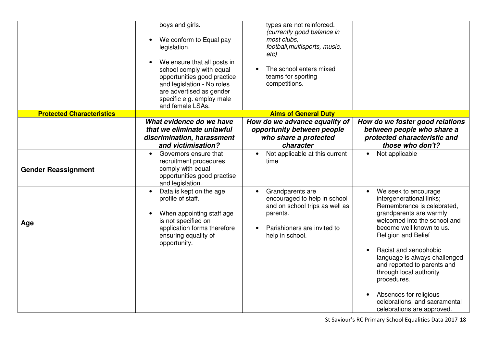|                                  | boys and girls.<br>We conform to Equal pay<br>legislation.<br>We ensure that all posts in<br>school comply with equal<br>opportunities good practice<br>and legislation - No roles<br>are advertised as gender<br>specific e.g. employ male<br>and female LSAs. | types are not reinforced.<br>(currently good balance in<br>most clubs,<br>football, multisports, music,<br>etc)<br>The school enters mixed<br>teams for sporting<br>competitions. |                                                                                                                                                                                                                                                                                                                                                                                                                          |
|----------------------------------|-----------------------------------------------------------------------------------------------------------------------------------------------------------------------------------------------------------------------------------------------------------------|-----------------------------------------------------------------------------------------------------------------------------------------------------------------------------------|--------------------------------------------------------------------------------------------------------------------------------------------------------------------------------------------------------------------------------------------------------------------------------------------------------------------------------------------------------------------------------------------------------------------------|
| <b>Protected Characteristics</b> |                                                                                                                                                                                                                                                                 | <b>Aims of General Duty</b>                                                                                                                                                       |                                                                                                                                                                                                                                                                                                                                                                                                                          |
|                                  | What evidence do we have<br>that we eliminate unlawful<br>discrimination, harassment<br>and victimisation?                                                                                                                                                      | How do we advance equality of<br>opportunity between people<br>who share a protected<br>character                                                                                 | How do we foster good relations<br>between people who share a<br>protected characteristic and<br>those who don't?                                                                                                                                                                                                                                                                                                        |
| <b>Gender Reassignment</b>       | Governors ensure that<br>$\bullet$<br>recruitment procedures<br>comply with equal<br>opportunities good practise<br>and legislation.                                                                                                                            | Not applicable at this current<br>time                                                                                                                                            | Not applicable<br>$\bullet$                                                                                                                                                                                                                                                                                                                                                                                              |
| Age                              | Data is kept on the age<br>profile of staff.<br>When appointing staff age<br>is not specified on<br>application forms therefore<br>ensuring equality of<br>opportunity.                                                                                         | Grandparents are<br>encouraged to help in school<br>and on school trips as well as<br>parents.<br>Parishioners are invited to<br>help in school.                                  | We seek to encourage<br>intergenerational links;<br>Remembrance is celebrated,<br>grandparents are warmly<br>welcomed into the school and<br>become well known to us.<br>Religion and Belief<br>Racist and xenophobic<br>language is always challenged<br>and reported to parents and<br>through local authority<br>procedures.<br>Absences for religious<br>celebrations, and sacramental<br>celebrations are approved. |